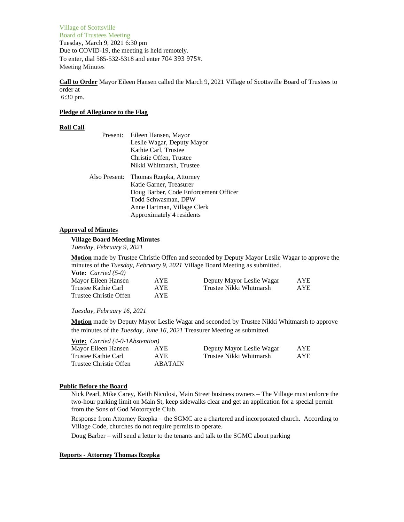Village of Scottsville Board of Trustees Meeting Tuesday, March 9, 2021 6:30 pm Due to COVID-19, the meeting is held remotely. To enter, dial 585-532-5318 and enter 704 393 975#. Meeting Minutes

**Call to Order** Mayor Eileen Hansen called the March 9, 2021 Village of Scottsville Board of Trustees to order at 6:30 pm.

**Pledge of Allegiance to the Flag**

# **Roll Call**

| Present:      | Eileen Hansen, Mayor                  |
|---------------|---------------------------------------|
|               | Leslie Wagar, Deputy Mayor            |
|               | Kathie Carl, Trustee                  |
|               | Christie Offen, Trustee               |
|               | Nikki Whitmarsh, Trustee              |
| Also Present: | Thomas Rzepka, Attorney               |
|               | Katie Garner, Treasurer               |
|               | Doug Barber, Code Enforcement Officer |
|               | Todd Schwasman, DPW                   |
|               | Anne Hartman, Village Clerk           |
|               | Approximately 4 residents             |

# **Approval of Minutes**

### **Village Board Meeting Minutes**

*Tuesday, February 9, 2021*

**Motion** made by Trustee Christie Offen and seconded by Deputy Mayor Leslie Wagar to approve the minutes of the *Tuesday, February 9, 2021* Village Board Meeting as submitted. **Vote:** *Carried (5-0)*

| Mayor Eileen Hansen    | <b>AYE</b> | Deputy Mayor Leslie Wagar | AYE |
|------------------------|------------|---------------------------|-----|
| Trustee Kathie Carl    | <b>AYE</b> | Trustee Nikki Whitmarsh   | AYE |
| Trustee Christie Offen | AYE.       |                           |     |

### *Tuesday, February 16, 2021*

**Motion** made by Deputy Mayor Leslie Wagar and seconded by Trustee Nikki Whitmarsh to approve the minutes of the *Tuesday, June 16, 2021* Treasurer Meeting as submitted.

| <b>Vote:</b> <i>Carried</i> (4-0-1Abstention) |                |                           |     |
|-----------------------------------------------|----------------|---------------------------|-----|
| Mayor Eileen Hansen                           | AYE            | Deputy Mayor Leslie Wagar | AYE |
| Trustee Kathie Carl                           | AYE.           | Trustee Nikki Whitmarsh   | AYE |
| Trustee Christie Offen                        | <b>ABATAIN</b> |                           |     |

### **Public Before the Board**

Nick Pearl, Mike Carey, Keith Nicolosi, Main Street business owners – The Village must enforce the two-hour parking limit on Main St, keep sidewalks clear and get an application for a special permit from the Sons of God Motorcycle Club.

Response from Attorney Rzepka – the SGMC are a chartered and incorporated church. According to Village Code, churches do not require permits to operate.

Doug Barber – will send a letter to the tenants and talk to the SGMC about parking

### **Reports - Attorney Thomas Rzepka**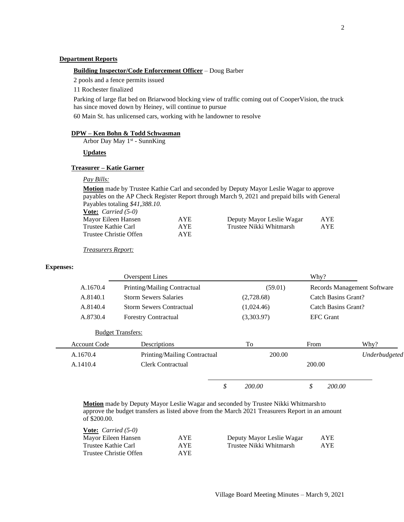### **Department Reports**

#### **Building Inspector/Code Enforcement Officer** – Doug Barber

2 pools and a fence permits issued

11 Rochester finalized

Parking of large flat bed on Briarwood blocking view of traffic coming out of CooperVision, the truck has since moved down by Heiney, will continue to pursue

60 Main St. has unlicensed cars, working with he landowner to resolve

### **DPW – Ken Bohn & Todd Schwasman**

Arbor Day May 1<sup>st</sup> - SunnKing

# **Updates**

# **Treasurer – Katie Garner**

# *Pay Bills:*

**Motion** made by Trustee Kathie Carl and seconded by Deputy Mayor Leslie Wagar to approve payables on the AP Check Register Report through March 9, 2021 and prepaid bills with General Payables totaling *\$41,388.10.*

| <b>Vote:</b> <i>Carried</i> $(5-0)$ |      |                           |     |
|-------------------------------------|------|---------------------------|-----|
| Mayor Eileen Hansen                 | AYE. | Deputy Mayor Leslie Wagar | AYE |
| Trustee Kathie Carl                 | AYE. | Trustee Nikki Whitmarsh   | AYE |
| Trustee Christie Offen              | AYE. |                           |     |

*Treasurers Report:*

## **Expenses:**

|                     | <b>Overspent Lines</b>          |              | Why?   |                     |                             |
|---------------------|---------------------------------|--------------|--------|---------------------|-----------------------------|
| A.1670.4            | Printing/Mailing Contractual    | (59.01)      |        |                     | Records Management Software |
| A.8140.1            | <b>Storm Sewers Salaries</b>    | (2,728.68)   |        | Catch Basins Grant? |                             |
| A.8140.4            | <b>Storm Sewers Contractual</b> | (1,024.46)   |        | Catch Basins Grant? |                             |
| A.8730.4            | <b>Forestry Contractual</b>     | (3,303.97)   |        | <b>EFC</b> Grant    |                             |
|                     | <b>Budget Transfers:</b>        |              |        |                     |                             |
| <b>Account Code</b> | Descriptions                    | To           | From   |                     | Why?                        |
| A.1670.4            | Printing/Mailing Contractual    | 200.00       |        |                     | Underbudgeted               |
| A.1410.4            | Clerk Contractual               |              | 200.00 |                     |                             |
|                     |                                 | \$<br>200.00 | \$     | 200.00              |                             |

**Motion** made by Deputy Mayor Leslie Wagar and seconded by Trustee Nikki Whitmarshto approve the budget transfers as listed above from the March 2021 Treasurers Report in an amount of \$200.00.

| <b><u>Vote:</u></b> <i>Carried</i> $(5-0)$ |      |                           |     |
|--------------------------------------------|------|---------------------------|-----|
| Mayor Eileen Hansen                        | AYE. | Deputy Mayor Leslie Wagar | AYE |
| Trustee Kathie Carl                        | AYE. | Trustee Nikki Whitmarsh   | AYE |
| Trustee Christie Offen                     | AYE. |                           |     |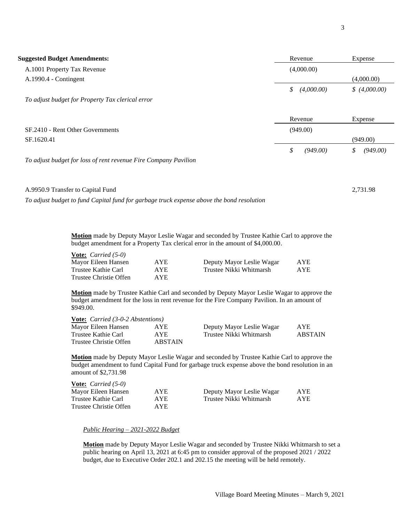| <b>Suggested Budget Amendments:</b>                                                       | Revenue          | Expense        |
|-------------------------------------------------------------------------------------------|------------------|----------------|
| A.1001 Property Tax Revenue                                                               | (4,000.00)       |                |
| A.1990.4 - Contingent                                                                     |                  | (4,000.00)     |
|                                                                                           | \$<br>(4,000.00) | \$(4,000.00)   |
| To adjust budget for Property Tax clerical error                                          |                  |                |
|                                                                                           | Revenue          | Expense        |
| SF.2410 - Rent Other Governments                                                          | (949.00)         |                |
| SF.1620.41                                                                                |                  | (949.00)       |
|                                                                                           | \$<br>(949.00)   | \$<br>(949.00) |
| To adjust budget for loss of rent revenue Fire Company Pavilion                           |                  |                |
| A.9950.9 Transfer to Capital Fund                                                         |                  | 2,731.98       |
| To adjust budget to fund Capital fund for garbage truck expense above the bond resolution |                  |                |

**Motion** made by Deputy Mayor Leslie Wagar and seconded by Trustee Kathie Carl to approve the budget amendment for a Property Tax clerical error in the amount of \$4,000.00.

| <b>Vote:</b> <i>Carried</i> $(5-0)$ |            |                           |     |
|-------------------------------------|------------|---------------------------|-----|
| Mayor Eileen Hansen                 | <b>AYE</b> | Deputy Mayor Leslie Wagar | AYE |
| Trustee Kathie Carl                 | AYE.       | Trustee Nikki Whitmarsh   | AYE |
| Trustee Christie Offen              | AYE.       |                           |     |

**Motion** made by Trustee Kathie Carl and seconded by Deputy Mayor Leslie Wagar to approve the budget amendment for the loss in rent revenue for the Fire Company Pavilion. In an amount of \$949.00.

| <b>Vote:</b> <i>Carried</i> $(3-0-2$ <i>Abstentions</i> ) |                |                           |                |
|-----------------------------------------------------------|----------------|---------------------------|----------------|
| Mayor Eileen Hansen                                       | AYE.           | Deputy Mayor Leslie Wagar | AYE.           |
| Trustee Kathie Carl                                       | AYE.           | Trustee Nikki Whitmarsh   | <b>ABSTAIN</b> |
| Trustee Christie Offen                                    | <b>ABSTAIN</b> |                           |                |

**Motion** made by Deputy Mayor Leslie Wagar and seconded by Trustee Kathie Carl to approve the budget amendment to fund Capital Fund for garbage truck expense above the bond resolution in an amount of \$2,731.98

| <b>Vote:</b> <i>Carried</i> $(5-0)$ |            |                           |            |
|-------------------------------------|------------|---------------------------|------------|
| Mayor Eileen Hansen                 | <b>AYE</b> | Deputy Mayor Leslie Wagar | <b>AYE</b> |
| Trustee Kathie Carl                 | AYE.       | Trustee Nikki Whitmarsh   | AYE.       |
| Trustee Christie Offen              | AYE.       |                           |            |

*Public Hearing – 2021-2022 Budget*

**Motion** made by Deputy Mayor Leslie Wagar and seconded by Trustee Nikki Whitmarsh to set a public hearing on April 13, 2021 at 6:45 pm to consider approval of the proposed 2021 / 2022 budget, due to Executive Order 202.1 and 202.15 the meeting will be held remotely.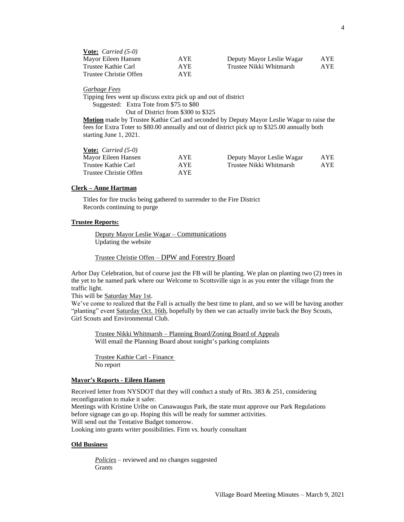| <b>Vote:</b> <i>Carried</i> $(5-0)$ |      |                           |            |
|-------------------------------------|------|---------------------------|------------|
| Mayor Eileen Hansen                 | AYE. | Deputy Mayor Leslie Wagar | <b>AYE</b> |
| Trustee Kathie Carl                 | AYE. | Trustee Nikki Whitmarsh   | AYE        |
| Trustee Christie Offen              | AYE. |                           |            |

#### *Garbage Fees*

Tipping fees went up discuss extra pick up and out of district Suggested: Extra Tote from \$75 to \$80 Out of District from \$300 to \$325

**Motion** made by Trustee Kathie Carl and seconded by Deputy Mayor Leslie Wagar to raise the fees for Extra Toter to \$80.00 annually and out of district pick up to \$325.00 annually both starting June 1, 2021.

# **Vote:** *Carried (5-0)*

| Mayor Eileen Hansen    | AYE  | Deputy Mayor Leslie Wagar | AYE        |
|------------------------|------|---------------------------|------------|
| Trustee Kathie Carl    | AYE. | Trustee Nikki Whitmarsh   | <b>AYE</b> |
| Trustee Christie Offen | AYE. |                           |            |

# **Clerk – Anne Hartman**

Titles for fire trucks being gathered to surrender to the Fire District Records continuing to purge

#### **Trustee Reports:**

Deputy Mayor Leslie Wagar – Communications Updating the website

Trustee Christie Offen – DPW and Forestry Board

Arbor Day Celebration, but of course just the FB will be planting. We plan on planting two (2) trees in the yet to be named park where our Welcome to Scottsville sign is as you enter the village from the traffic light.

This will be Saturday May 1st.

We've come to realized that the Fall is actually the best time to plant, and so we will be having another "planting" event Saturday Oct. 16th, hopefully by then we can actually invite back the Boy Scouts, Girl Scouts and Environmental Club.

Trustee Nikki Whitmarsh – Planning Board/Zoning Board of Appeals Will email the Planning Board about tonight's parking complaints

Trustee Kathie Carl - Finance No report

# **Mayor's Reports - Eileen Hansen**

Received letter from NYSDOT that they will conduct a study of Rts. 383  $& 251$ , considering reconfiguration to make it safer. Meetings with Kristine Uribe on Canawaugus Park, the state must approve our Park Regulations

before signage can go up. Hoping this will be ready for summer activities. Will send out the Tentative Budget tomorrow.

Looking into grants writer possibilities. Firm vs. hourly consultant

## **Old Business**

*Policies* – reviewed and no changes suggested Grants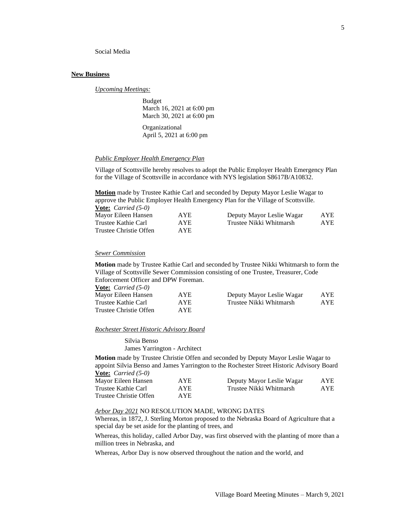Social Media

#### **New Business**

*Upcoming Meetings:*

Budget March 16, 2021 at 6:00 pm March 30, 2021 at 6:00 pm

Organizational April 5, 2021 at 6:00 pm

#### *Public Employer Health Emergency Plan*

Village of Scottsville hereby resolves to adopt the Public Employer Health Emergency Plan for the Village of Scottsville in accordance with NYS legislation S8617B/A10832.

**Motion** made by Trustee Kathie Carl and seconded by Deputy Mayor Leslie Wagar to approve the Public Employer Health Emergency Plan for the Village of Scottsville.

| <b>Vote:</b> <i>Carried</i> $(5-0)$ |            |                           |            |
|-------------------------------------|------------|---------------------------|------------|
| Mayor Eileen Hansen                 | <b>AYE</b> | Deputy Mayor Leslie Wagar | <b>AYE</b> |
| Trustee Kathie Carl                 | AYE.       | Trustee Nikki Whitmarsh   | <b>AYE</b> |
| Trustee Christie Offen              | AYE.       |                           |            |

#### *Sewer Commission*

**Motion** made by Trustee Kathie Carl and seconded by Trustee Nikki Whitmarsh to form the Village of Scottsville Sewer Commission consisting of one Trustee, Treasurer, Code Enforcement Officer and DPW Foreman.

| <b><u>Vote:</u></b> <i>Carried</i> $(5-0)$ |      |                           |            |
|--------------------------------------------|------|---------------------------|------------|
| Mayor Eileen Hansen                        | AYE. | Deputy Mayor Leslie Wagar | <b>AYE</b> |
| Trustee Kathie Carl                        | AYE. | Trustee Nikki Whitmarsh   | AYE        |
| Trustee Christie Offen                     | AYE. |                           |            |

# *Rochester Street Historic Advisory Board*

Silvia Benso James Yarrington - Architect

**Motion** made by Trustee Christie Offen and seconded by Deputy Mayor Leslie Wagar to appoint Silvia Benso and James Yarrington to the Rochester Street Historic Advisory Board **Vote:** *Carried (5-0)*

| Mayor Eileen Hansen    | <b>AYE</b> | Deputy Mayor Leslie Wagar | AYE |
|------------------------|------------|---------------------------|-----|
| Trustee Kathie Carl    | AYE.       | Trustee Nikki Whitmarsh   | AYE |
| Trustee Christie Offen | AYE.       |                           |     |

# *Arbor Day 2021* NO RESOLUTION MADE, WRONG DATES

Whereas, in 1872, J. Sterling Morton proposed to the Nebraska Board of Agriculture that a special day be set aside for the planting of trees, and

Whereas, this holiday, called Arbor Day, was first observed with the planting of more than a million trees in Nebraska, and

Whereas, Arbor Day is now observed throughout the nation and the world, and